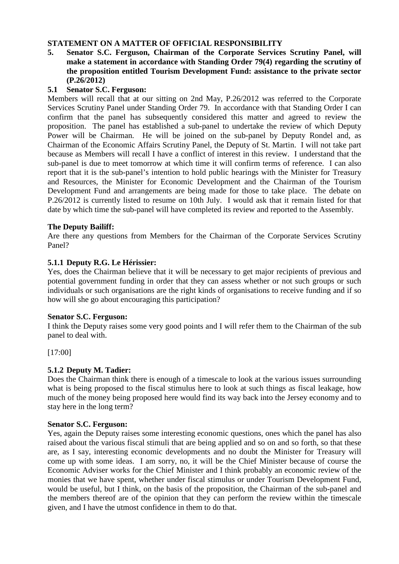# **STATEMENT ON A MATTER OF OFFICIAL RESPONSIBILITY**

**5. Senator S.C. Ferguson, Chairman of the Corporate Services Scrutiny Panel, will make a statement in accordance with Standing Order 79(4) regarding the scrutiny of the proposition entitled Tourism Development Fund: assistance to the private sector (P.26/2012)** 

## **5.1 Senator S.C. Ferguson:**

Members will recall that at our sitting on 2nd May, P.26/2012 was referred to the Corporate Services Scrutiny Panel under Standing Order 79. In accordance with that Standing Order I can confirm that the panel has subsequently considered this matter and agreed to review the proposition. The panel has established a sub-panel to undertake the review of which Deputy Power will be Chairman. He will be joined on the sub-panel by Deputy Rondel and, as Chairman of the Economic Affairs Scrutiny Panel, the Deputy of St. Martin. I will not take part because as Members will recall I have a conflict of interest in this review. I understand that the sub-panel is due to meet tomorrow at which time it will confirm terms of reference. I can also report that it is the sub-panel's intention to hold public hearings with the Minister for Treasury and Resources, the Minister for Economic Development and the Chairman of the Tourism Development Fund and arrangements are being made for those to take place. The debate on P.26/2012 is currently listed to resume on 10th July. I would ask that it remain listed for that date by which time the sub-panel will have completed its review and reported to the Assembly.

## **The Deputy Bailiff:**

Are there any questions from Members for the Chairman of the Corporate Services Scrutiny Panel?

## **5.1.1 Deputy R.G. Le Hérissier:**

Yes, does the Chairman believe that it will be necessary to get major recipients of previous and potential government funding in order that they can assess whether or not such groups or such individuals or such organisations are the right kinds of organisations to receive funding and if so how will she go about encouraging this participation?

### **Senator S.C. Ferguson:**

I think the Deputy raises some very good points and I will refer them to the Chairman of the sub panel to deal with.

[17:00]

# **5.1.2 Deputy M. Tadier:**

Does the Chairman think there is enough of a timescale to look at the various issues surrounding what is being proposed to the fiscal stimulus here to look at such things as fiscal leakage, how much of the money being proposed here would find its way back into the Jersey economy and to stay here in the long term?

### **Senator S.C. Ferguson:**

Yes, again the Deputy raises some interesting economic questions, ones which the panel has also raised about the various fiscal stimuli that are being applied and so on and so forth, so that these are, as I say, interesting economic developments and no doubt the Minister for Treasury will come up with some ideas. I am sorry, no, it will be the Chief Minister because of course the Economic Adviser works for the Chief Minister and I think probably an economic review of the monies that we have spent, whether under fiscal stimulus or under Tourism Development Fund, would be useful, but I think, on the basis of the proposition, the Chairman of the sub-panel and the members thereof are of the opinion that they can perform the review within the timescale given, and I have the utmost confidence in them to do that.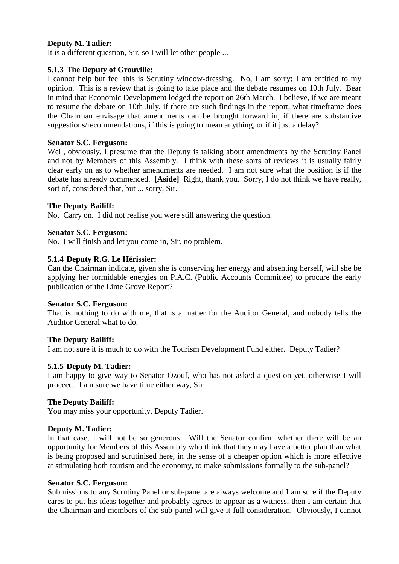# **Deputy M. Tadier:**

It is a different question, Sir, so I will let other people ...

## **5.1.3 The Deputy of Grouville:**

I cannot help but feel this is Scrutiny window-dressing. No, I am sorry; I am entitled to my opinion. This is a review that is going to take place and the debate resumes on 10th July. Bear in mind that Economic Development lodged the report on 26th March. I believe, if we are meant to resume the debate on 10th July, if there are such findings in the report, what timeframe does the Chairman envisage that amendments can be brought forward in, if there are substantive suggestions/recommendations, if this is going to mean anything, or if it just a delay?

### **Senator S.C. Ferguson:**

Well, obviously, I presume that the Deputy is talking about amendments by the Scrutiny Panel and not by Members of this Assembly. I think with these sorts of reviews it is usually fairly clear early on as to whether amendments are needed. I am not sure what the position is if the debate has already commenced. **[Aside]** Right, thank you. Sorry, I do not think we have really, sort of, considered that, but ... sorry, Sir.

# **The Deputy Bailiff:**

No. Carry on. I did not realise you were still answering the question.

## **Senator S.C. Ferguson:**

No. I will finish and let you come in, Sir, no problem.

## **5.1.4 Deputy R.G. Le Hérissier:**

Can the Chairman indicate, given she is conserving her energy and absenting herself, will she be applying her formidable energies on P.A.C. (Public Accounts Committee) to procure the early publication of the Lime Grove Report?

### **Senator S.C. Ferguson:**

That is nothing to do with me, that is a matter for the Auditor General, and nobody tells the Auditor General what to do.

### **The Deputy Bailiff:**

I am not sure it is much to do with the Tourism Development Fund either. Deputy Tadier?

# **5.1.5 Deputy M. Tadier:**

I am happy to give way to Senator Ozouf, who has not asked a question yet, otherwise I will proceed. I am sure we have time either way, Sir.

### **The Deputy Bailiff:**

You may miss your opportunity, Deputy Tadier.

### **Deputy M. Tadier:**

In that case, I will not be so generous. Will the Senator confirm whether there will be an opportunity for Members of this Assembly who think that they may have a better plan than what is being proposed and scrutinised here, in the sense of a cheaper option which is more effective at stimulating both tourism and the economy, to make submissions formally to the sub-panel?

### **Senator S.C. Ferguson:**

Submissions to any Scrutiny Panel or sub-panel are always welcome and I am sure if the Deputy cares to put his ideas together and probably agrees to appear as a witness, then I am certain that the Chairman and members of the sub-panel will give it full consideration. Obviously, I cannot